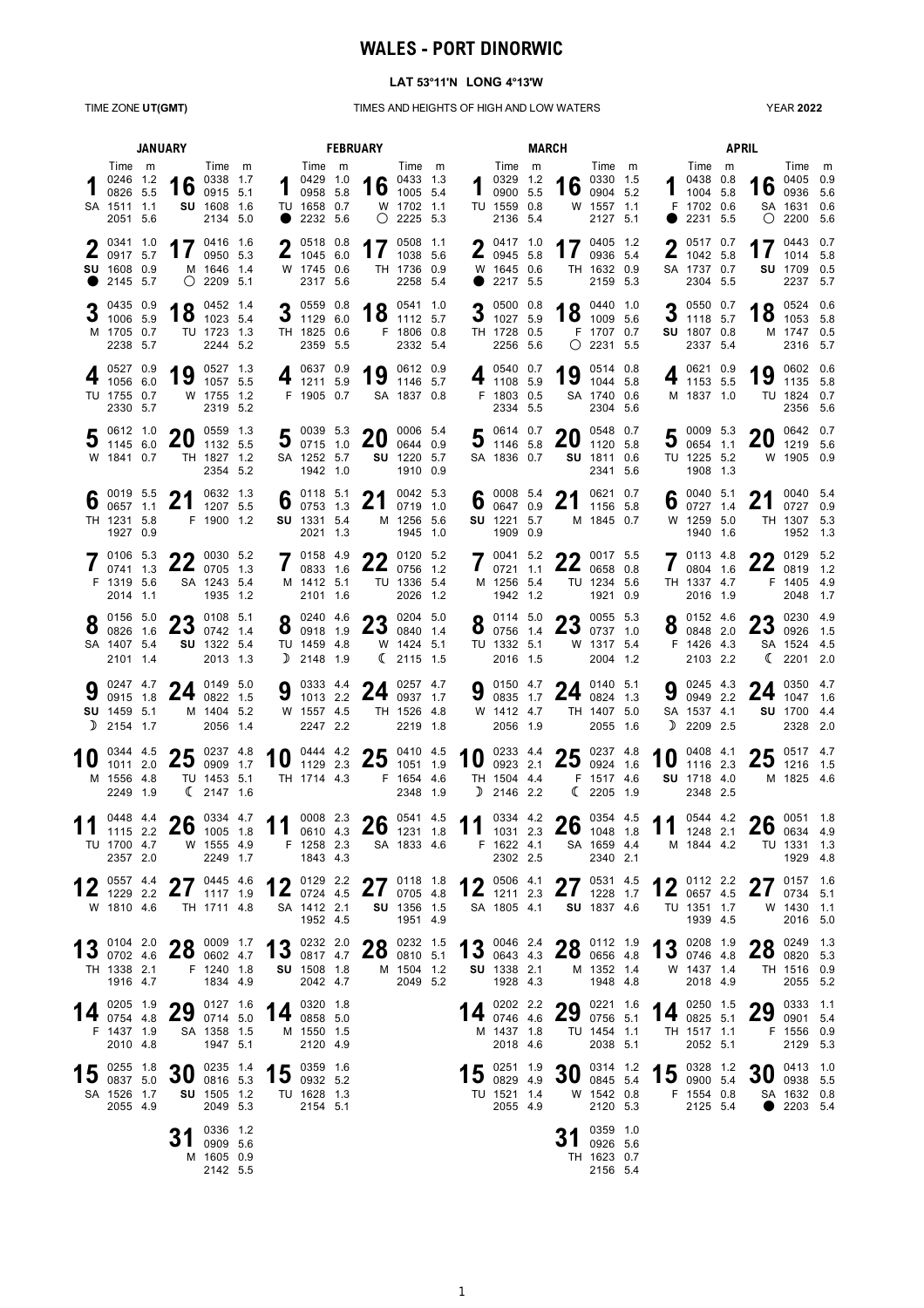# **WALES - PORT DINORWIC**

### **LAT 53°11'N LONG 4°13'W**

### TIME ZONE **UT(GMT)** TIMES AND HEIGHTS OF HIGH AND LOW WATERS

YEAR **2022**

|     | <b>JANUARY</b>                                                          |  |                                                                      |                                                           |  |                                                                         |                                                               | <b>FEBRUARY</b>                               |                                                          |  |                                                                                      | <b>MARCH</b> |                                                   |                                                            | <b>APRIL</b> |    |                                                                       |  |                  |                                                                     |  |
|-----|-------------------------------------------------------------------------|--|----------------------------------------------------------------------|-----------------------------------------------------------|--|-------------------------------------------------------------------------|---------------------------------------------------------------|-----------------------------------------------|----------------------------------------------------------|--|--------------------------------------------------------------------------------------|--------------|---------------------------------------------------|------------------------------------------------------------|--------------|----|-----------------------------------------------------------------------|--|------------------|---------------------------------------------------------------------|--|
|     | Time m<br>0246 1.2<br>0826 5.5<br>SA 1511 1.1<br>2051 5.6               |  | 16                                                                   | Time m<br>0338 1.7<br>0915 5.1<br>SU 1608 1.6<br>2134 5.0 |  |                                                                         | Time m<br>1042910<br>0958 5.8<br>TU 1658 0.7<br>2232 5.6      |                                               | Time m<br>16 $^{0433}$ 1.3<br>W 1702 1.1<br>$O$ 2225 5.3 |  | Time m<br>$\frac{10329}{0900}$ $\frac{12}{5}$<br>0900 5.5<br>TU 1559 0.8<br>2136 5.4 |              | 16                                                | Time m<br>0330 1.5<br>0904 5.2<br>W 1557 1.1<br>2127 5.1   |              |    | Time m<br>10438088<br>10045.8<br>F 1702 0.6<br>2231 5.5               |  |                  | Time m<br>16 0405 0.9<br>SA 1631 0.6<br>$O$ 2200 5.6                |  |
|     | $2^{0341}$ 1.0<br>0917 5.7<br>SU 1608 0.9<br>2145 5.7                   |  |                                                                      | 17 $^{0416}$ 1.6<br>M 1646 1.4<br>$O$ 2209 5.1            |  |                                                                         | $2^{0518}$ 0.8<br>1045 6.0<br>W 1745 0.6<br>2317 5.6          | 17                                            | 0508 1.1<br>1038 5.6<br>TH 1736 0.9<br>2258 5.4          |  | $2^{0417}$ 1.0<br>0945 5.8<br>W 1645 0.6<br>2217 5.5                                 |              |                                                   | 17 $^{0405}$ 1.2<br>TH 1632 0.9<br>2159 5.3                |              |    | $\bullet$ 0517 0.7<br>$\frac{2}{1042}$ 5.8<br>SA 1737 0.7<br>2304 5.5 |  | 17               | 0443 0.7<br>1014 5.8<br>SU 1709 0.5<br>2237 5.7                     |  |
|     | 0435 0.9<br>3 $^{0435}$ 0.9<br>M 1705 0.7<br>2238 5.7                   |  |                                                                      | 18 $^{0452}$ 1.4<br>TU 1723 1.3<br>2244 5.2               |  |                                                                         | 3 $\frac{0559}{1129}$ 6.0<br>TH 1825 0.6<br>2359 5.5          |                                               | 18 $^{0541}$ 1.0<br>F 1806 0.8<br>2332 5.4               |  | 3 $\frac{0500}{1027}$ 5.9<br>TH 1728 0.5<br>2256 5.6                                 |              |                                                   | 18 $^{0440}$ 1.0<br>1009 5.6<br>F 1707 0.7<br>$O$ 2231 5.5 |              |    | 905500.7<br>$3 \t1118 \t5.7$<br>SU 1807 0.8<br>2337 5.4               |  |                  | 18 $^{0524}$ 0.6<br>18 $^{1053}$ 5.8<br>M 1747 0.5<br>2316 5.7      |  |
|     | ∣ 0527 0.9<br>1056 6.0<br>TU 1755 0.7<br>2330 5.7                       |  | 19 $^{0527}$ 1.3                                                     | W 1755 1.2<br>2319 5.2                                    |  |                                                                         | 4 $^{0637}$ 0.9<br>1211 5.9<br>F 1905 0.7                     | 19 $^{0612}$ 0.9                              | SA 1837 0.8                                              |  | 4 $\frac{0540}{1108}$ 5.9<br>F 1803 0.5<br>2334 5.5                                  |              |                                                   | 19 $^{0514}$ 0.8<br>SA 1740 0.6<br>2304 5.6                |              |    | 4 $^{0621}$ 0.9<br>1153 5.5<br>M 1837 1.0                             |  |                  | 19 $^{0602}$ 0.6<br>TU 1824 0.7<br>2356 5.6                         |  |
|     | 0612 1.0<br>1145 6.0<br>W 1841 0.7                                      |  | <b>20</b>                                                            | 0559 1.3<br>1132 5.5<br>TH 1827 1.2<br>2354 5.2           |  |                                                                         | $50039$ 5.3 20<br>SA 1252 5.7<br>1942 1.0                     |                                               | 0006 5.4<br>0644 0.9<br>SU 1220 5.7<br>1910 0.9          |  | $50614$ 0.7<br>$J$ 1146 5.8<br>SA 1836 0.7                                           |              | 20                                                | 0548 0.7<br>1120 5.8<br>SU 1811 0.6<br>2341 5.6            |              |    | 5 $\frac{0009}{0654}$ 5.3<br>TU 1225 5.2<br>1908 1.3                  |  | 20               | 0642 0.7<br>1219 5.6<br>W 1905 0.9                                  |  |
| 6   | $\bullet$ 0019 5.5<br>0657 1.1<br>TH 1231 5.8<br>1927 0.9               |  | 21 $^{0632}$ 1.3                                                     | F 1900 1.2                                                |  |                                                                         | 6 $_{0752}^{0118}$ 5.1<br>SU 1331 5.4<br>2021 1.3             | 21                                            | 0042 5.3<br>0719 1.0<br>M 1256 5.6<br>1945 1.0           |  | 6 $^{0008}$ 5.4<br>0647 0.9<br>SU 1221 5.7<br>1909 0.9                               |              | 21                                                | 0621 0.7<br>1156 5.8<br>M 1845 0.7                         |              | ხ  | $\bullet$ 0040 5.1<br>0727 1.4<br>W 1259 5.0<br>1940 1.6              |  | 21               | 0040 5.4<br>0727 0.9<br>TH 1307 5.3<br>1952 1.3                     |  |
|     | F 1319 5.6<br>2014 1.1                                                  |  | 7 0106 5.3 22 0030 5.2                                               | SA 1243 5.4<br>1935 1.2                                   |  |                                                                         | 7 0158 4.9<br>M 1412 5.1<br>2101 1.6                          | $22$ 0120 5.2<br>$22$ 0756 1.2<br>TU 1336 5.4 | 2026 1.2                                                 |  | 700415.2<br>$\frac{1}{20721}$ 1.1<br>M 1256 5.4<br>1942 1.2                          |              | 22.5<br>2206580.8                                 | TU 1234 5.6<br>1921 0.9                                    |              |    | 701134.8<br>$10804$ 1.6<br>TH 1337 4.7<br>2016 1.9                    |  | 22 $^{0129}$ 5.2 | F 1405 4.9<br>2048 1.7                                              |  |
|     | $2^{0156}5.0$<br>0826 1.6<br>SA 1407 5.4<br>2101 1.4                    |  | <b>22</b> 0108 5.1<br>250074214                                      | SU 1322 5.4<br>2013 1.3                                   |  |                                                                         | $2^{0240}$ 4.6<br>$0$ 0918 1.9<br>TU 1459 4.8<br>$D$ 2148 1.9 | $23$ $0204$ $5.0$ $1.4$                       | W 1424 5.1<br>(2115 1.5                                  |  | $8^{0114}_{0756}$ 1.4<br>TU 1332 5.1<br>2016 1.5                                     |              | 23 $^{0055}$ 5.3                                  | W 1317 5.4<br>2004 1.2                                     |              |    | $2^{0152}4.6$<br>0.08482.0<br>F 1426 4.3<br>2103 2.2                  |  |                  | 99 0230 4.9<br>$25_{0926}$ 1.5<br>SA 1524 4.5<br>$\binom{2201}{20}$ |  |
| D   | SU 1459 5.1<br>2154 1.7                                                 |  | 9 $^{0247}$ 4.7 24 $^{0149}$ 5.0 0915 1.8 24 0822 1.5                | M 1404 5.2<br>2056 1.4                                    |  |                                                                         | W 1557 4.5<br>2247 2.2                                        | 9 0333 4.4 24 0257 4.7                        | TH 1526 4.8<br>2219 1.8                                  |  | W 1412 4.7<br>2056 1.9                                                               |              | 9 0150 4.7 24 0140 5.1                            | TH 1407 5.0<br>2055 1.6                                    |              |    | 9 $\frac{0245}{0949}$ 2.2<br>SA 1537 4.1<br>$D$ 2209 2.5              |  | 24 $^{0350}$ 4.7 | SU 1700 4.4<br>2328 2.0                                             |  |
| 1 U | 0344 4.5<br>M 1556 4.8<br>2249 1.9                                      |  | <b>25</b> 0237 4.8<br>1011 2.0 $\angle 3$ 0909 1.7                   | TU 1453 5.1<br>$\binom{2147}{2}$ 1.6                      |  |                                                                         | TH 1714 4.3                                                   | 10 0444 4.2 25 0410 4.5<br>F 1654 4.6         | 2348 1.9                                                 |  | $D$ 2146 2.2                                                                         |              | 10 0923 4.4 25 0924 1.6<br>TH 1504 4.4 F 1517 4.6 | (2205 1.9                                                  |              | 10 | 0408 4.1<br>1116 2.3<br>SU 1718 4.0<br>2348 2.5                       |  |                  | <b>25</b> 0517 4.7<br>$23$ 1216 1.5<br>M 1825 4.6                   |  |
|     | TU 1700 4.7<br>2357 2.0                                                 |  | $^{0448}$ 4.4 <b>26</b> $^{0334}$ 4.7<br>1115 2.2 <b>26</b> 1005 1.8 | W 1555 4.9<br>2249 1.7                                    |  | 11 0008 2.3 26 0541 4.5 11 0334 4.2 26 0354 4.5 11 0544 4.2 26 0634 4.9 | F 1258 2.3<br>1843 4.3                                        | SA 1833 4.6                                   |                                                          |  | F 1622 4.1<br>2302 2.5                                                               |              |                                                   | SA 1659 4.4<br>2340 2.1                                    |              |    | M 1844 4.2                                                            |  |                  | TU 1331 1.3<br>1929 4.8                                             |  |
|     | 1 2 0557 4.4<br>W 1810 4.6                                              |  | 12 $^{0557}$ 4.4 27 $^{0445}$ 4.6                                    | TH 1711 4.8                                               |  |                                                                         | SA 1412 2.1<br>1952 4.5                                       | 12 0129 2.2 27 0118 1.8                       | SU 1356 1.5<br>1951 4.9                                  |  | SA 1805 4.1                                                                          |              | 12 0506 4.1 27 0531 4.5<br>SU 1837 4.6            |                                                            |              |    | $40$ 0112 2.2<br>$12_{0657}$ 4.5<br>TU 1351 1.7<br>1939 4.5           |  |                  | $27$ 0157 1.6<br>$21$ 0734 5.1<br>W 1430 1.1<br>2016 5.0            |  |
|     | TH 1338 2.1<br>1916 4.7                                                 |  | 13 0104 2.0 28 0009 1.7                                              | F 1240 1.8<br>1834 4.9                                    |  |                                                                         | SU 1508 1.8<br>2042 4.7                                       | 13 0232 2.0 28 0232 1.5                       | M 1504 1.2<br>2049 5.2                                   |  | <b>SU</b> 1338 2.1<br>1928 4.3                                                       |              | 13 0046 2.4 28 0112 1.9                           | M 1352 1.4<br>1948 4.8                                     |              |    | 13 0208 1.9<br>W 1437 1.4<br>2018 4.9                                 |  |                  | $28$ $0249$ $1.3$ $5.3$<br>TH 1516 0.9<br>2055 5.2                  |  |
|     | 0205 1.9<br><b>14</b> $\frac{6200}{0754}$ 4.8<br>F 1437 1.9<br>2010 4.8 |  | 29                                                                   | 0127 1.6<br>0714 5.0<br>SA 1358 1.5<br>1947 5.1           |  |                                                                         | 0320 1.8<br>$14$ 0858 5.0<br>M 1550 1.5<br>2120 4.9           |                                               |                                                          |  | 0202 2.2<br>14 $_{0746}$ 4.6<br>M 1437 1.8<br>2018 4.6                               |              | 29                                                | 0221 1.6<br>0756 5.1<br>TU 1454 1.1<br>2038 5.1            |              |    | 0250 1.5<br>$14$ 0825 5.1<br>TH 1517 1.1<br>2052 5.1                  |  | 29               | 0333 1.1<br>0901 5.4<br>F 1556 0.9<br>2129 5.3                      |  |
|     | 15 $^{0255}$ 1.8<br>SA 1526 1.7<br>2055 4.9                             |  | $30^{0235}$ 1.4                                                      | SU 1505 1.2<br>2049 5.3                                   |  |                                                                         | 15 0359 1.6<br>TU 1628 1.3<br>2154 5.1                        |                                               |                                                          |  | $15$ $^{0251}$ $^{1.9}$<br>TU 1521 1.4<br>2055 4.9                                   |              |                                                   | $30^{0314}$ 1.2<br>W 1542 0.8<br>2120 5.3                  |              |    | $15$ 0328 1.2<br>F 1554 0.8<br>2125 5.4                               |  |                  | $30$ $^{0413}$ $^{1.0}$<br>SA 1632 0.8<br>2203 5.4                  |  |
|     |                                                                         |  |                                                                      | 0336 1.2<br>0909 5.6<br>M 1605 0.9<br>2142 5.5            |  |                                                                         |                                                               |                                               |                                                          |  |                                                                                      |              |                                                   | 0359 1.0<br>0926 5.6<br>TH 1623 0.7<br>2156 5.4            |              |    |                                                                       |  |                  |                                                                     |  |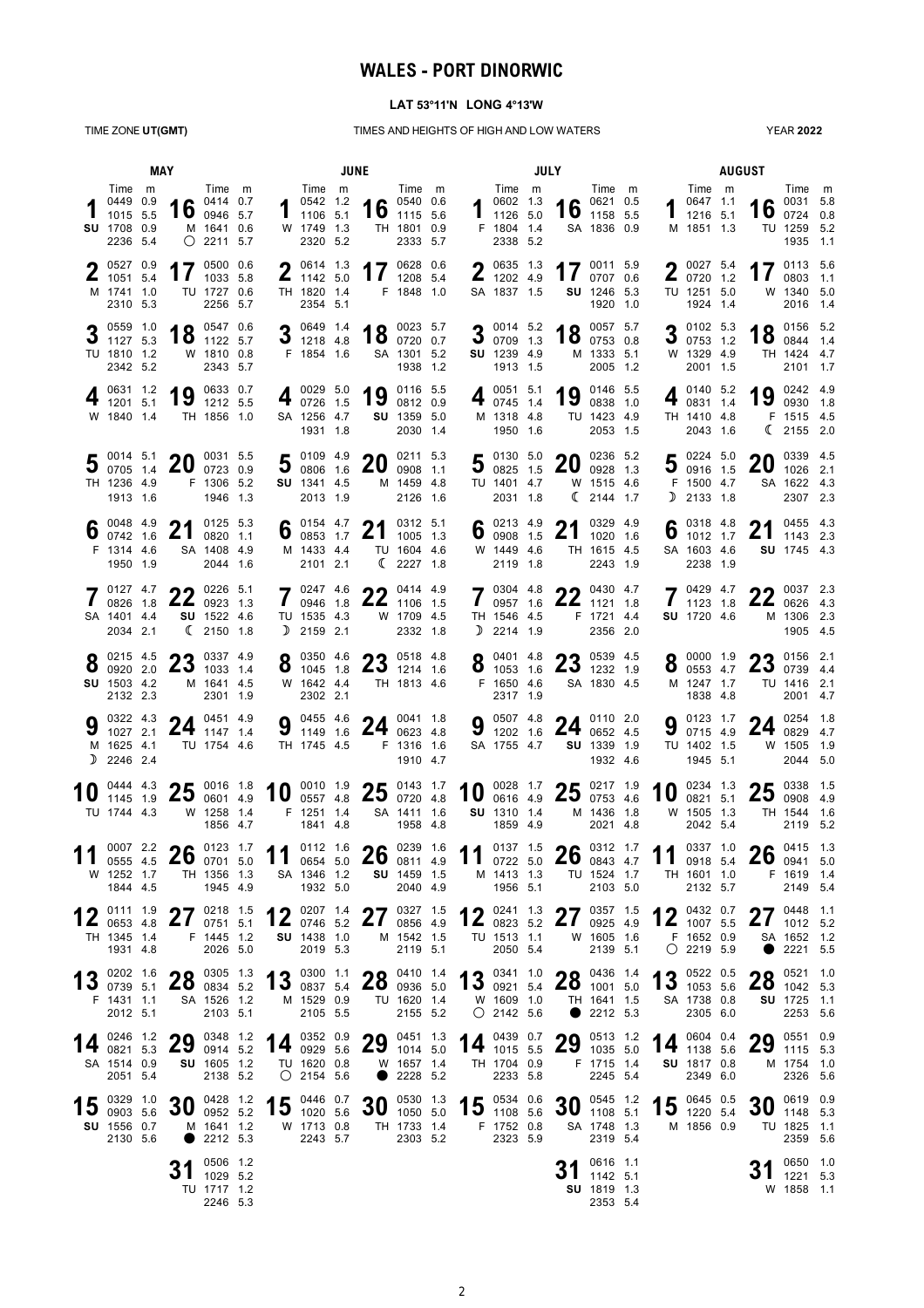## **WALES - PORT DINORWIC**

## **LAT 53°11'N LONG 4°13'W**

TIME ZONE **UT(GMT)** TIMES AND HEIGHTS OF HIGH AND LOW WATERS

YEAR **2022**

|    | MAY                                                               |  |                                                                                       |                                                                      | <b>JUNE</b> |   |                                                                        |  |                                                 |                                                            |  |    | <b>JULY</b>                                                                                                                                                                                                                                                                                                                                                                        |  |                                                   |                                                            |  |                  | <b>AUGUST</b>                                                                 |  |                    |                                                                  |  |  |
|----|-------------------------------------------------------------------|--|---------------------------------------------------------------------------------------|----------------------------------------------------------------------|-------------|---|------------------------------------------------------------------------|--|-------------------------------------------------|------------------------------------------------------------|--|----|------------------------------------------------------------------------------------------------------------------------------------------------------------------------------------------------------------------------------------------------------------------------------------------------------------------------------------------------------------------------------------|--|---------------------------------------------------|------------------------------------------------------------|--|------------------|-------------------------------------------------------------------------------|--|--------------------|------------------------------------------------------------------|--|--|
|    | Time m<br>0449 0.9<br>1015 5.5<br>SU 1708 0.9<br>2236 5.4         |  |                                                                                       | Time m<br>0414 0.7<br>16 $^{0414}$ 0.7<br>M 1641 0.6<br>$O$ 2211 5.7 |             |   | Time m<br>0542 1.2<br>1106 5.1<br>W 1749 1.3<br>2320 5.2               |  |                                                 | Time m<br>16 $^{0540}$ 0.6<br>TH 1801 0.9<br>2333 5.7      |  |    | Time m<br>0602 1.3<br>$1 \t{array} 10002 \t{array} 10002 \t{array} 10002 \t{array} 10002 \t{array} 10002 \t{array} 10002 \t{array} 10002 \t{array} 10002 \t{array} 10002 \t{array} 10002 \t{array} 10002 \t{array} 10002 \t{array} 10002 \t{array} 10002 \t{array} 10002 \t{array} 10002 \t{array} 10002 \t{array} 10002 \t{array} 10002 \t{array} 1000$<br>F 1804 1.4<br>2338 5.2 |  |                                                   | Time m<br>0621 0.5<br>16 $^{0621}$ $^{0.5}$<br>SA 1836 0.9 |  | 1                | Time m<br>0647 1.1<br>1216 5.1<br>M 1851 1.3                                  |  | 16                 | Time m<br>0031 5.8<br>0724 0.8<br>TU 1259 5.2<br>1935 1.1        |  |  |
|    | $\bullet$ 0527 0.9<br>1051 5.4<br>M 1741 1.0<br>2310 5.3          |  | 17                                                                                    | 0500 0.6<br>1033 5.8<br>TU 1727 0.6<br>2256 5.7                      |             |   | $\bigcirc$ 0614 1.3<br>$\frac{1}{1142}$ 5.0<br>TH 1820 1.4<br>2354 5.1 |  |                                                 | 17 $^{0628}$ 0.6<br>F 1848 1.0                             |  |    | $\bullet$ 0635 1.3<br>$\frac{2}{1202}$ 4.9<br>SA 1837 1.5                                                                                                                                                                                                                                                                                                                          |  |                                                   | 17 $^{0011}$ 5.9<br>SU 1246 5.3<br>1920 1.0                |  |                  | $\bullet$ 0027 5.4<br>$20720$ 1.2<br>TU 1251 5.0<br>1924 1.4                  |  | 17                 | 0113 5.6<br>0803 1.1<br>W 1340 5.0<br>2016 1.4                   |  |  |
|    | 3 $\frac{0559}{1127}$ 5<br>1127 5.3<br>TU 1810 1.2<br>2342 5.2    |  |                                                                                       | 18 $^{0547}$ $^{0.6}$<br>W 1810 0.8<br>2343 5.7                      |             |   | 2 0649 1.4<br>1218 4.8<br>F 1854 1.6                                   |  |                                                 | 18 $^{0023}$ 5.7<br>SA 1301 5.2<br>1938 1.2                |  |    | 3 $\frac{0014}{0709}$ 1.3<br>0709 1.3<br>SU 1239 4.9<br>1913 1.5                                                                                                                                                                                                                                                                                                                   |  | 18                                                | 0057 5.7<br>0753 0.8<br>M 1333 5.1<br>2005 1.2             |  |                  | 3 $\frac{0102}{0753}$ 12<br>0753 1.2<br>W 1329 4.9<br>2001 1.5                |  |                    | 18 $^{0156}$ 5.2<br>TH 1424 4.7<br>2101 1.7                      |  |  |
|    | 0631 1.2<br>$4_{1201}$ 5.1<br>W 1840 1.4                          |  | 19                                                                                    | 0633 0.7<br>1212 5.5<br>TH 1856 1.0                                  |             |   | 0029 5.0<br>$40726$ 1.5<br>SA 1256 4.7<br>1931 1.8                     |  | 19                                              | 0116 5.5<br>0812 0.9<br><b>SU</b> 1359 5.0<br>2030 1.4     |  |    | 0051 5.1<br>$4\frac{1}{0745}$ 1.4<br>M 1318 4.8<br>1950 1.6                                                                                                                                                                                                                                                                                                                        |  | 19                                                | 0146 5.5<br>0838 1.0<br>TU 1423 4.9<br>2053 1.5            |  |                  | 0140 5.2<br>0831 1.4<br>TH 1410 4.8<br>2043 1.6                               |  | 19                 | 0242 4.9<br>0930 1.8<br>F 1515 4.5<br>(2155 2.0)                 |  |  |
|    | $\frac{0014}{0705}$ 1.4 20<br>TH 1236 4.9<br>1913 1.6             |  |                                                                                       | 0031 5.5<br>0723 0.9<br>F 1306 5.2<br>1946 1.3                       |             |   | 5 $\frac{0109}{0806}$ 1.9<br>SU 1341 4.5<br>2013 1.9                   |  | 20                                              | 0211 5.3<br>0908 1.1<br>M 1459 4.8<br>2126 1.6             |  |    | 5 $^{0130}$ 5.0 0825 1.5<br>TU 1401 4.7<br>2031 1.8                                                                                                                                                                                                                                                                                                                                |  | <b>20</b>                                         | 0236 5.2<br>0928 1.3<br>W 1515 4.6<br>$\binom{2144}{1.7}$  |  |                  | 5 $^{0224}$ 5.0 0916 1.5<br>F 1500 4.7<br>$D$ 2133 1.8                        |  | 20                 | 0339 4.5<br>1026 2.1<br>SA 1622 4.3<br>2307 2.3                  |  |  |
|    | $\bullet$ 0048 4.9<br>0742 1.6<br>F 1314 4.6<br>1950 1.9          |  | 2 <sub>1</sub><br>$\mathbf{L}$                                                        | 0125 5.3<br>0820 1.1<br>SA 1408 4.9<br>2044 1.6                      |             |   | 6 $^{0154}$ 4.7<br>0853 1.7<br>M 1433 4.4<br>2101 2.1                  |  | 21<br><b>Z</b> 1                                | 0312 5.1<br>1005 1.3<br>TU 1604 4.6<br>$\binom{2227}{1.8}$ |  |    | 6 $^{0213}$ 4.9<br>0 $^{0213}$ 1.5<br>W 1449 4.6<br>2119 1.8                                                                                                                                                                                                                                                                                                                       |  | 21                                                | 0329 4.9<br>1020 1.6<br>TH 1615 4.5<br>2243 1.9            |  |                  | 6 $\frac{0318}{1012}$ $\frac{4.8}{17}$<br>1012 1.7<br>SA 1603 4.6<br>2238 1.9 |  | 21                 | 0455 4.3<br>1143 2.3<br>SU 1745 4.3                              |  |  |
|    | 701274.7<br>0826 1.8<br>SA 1401 4.4<br>2034 2.1                   |  | <b>226 5.1</b><br>$22$ 0923 1.3                                                       | SU 1522 4.6<br>(2150 1.8)                                            |             |   | $-20247$ 4.6<br>$10946$ 1.8<br>TU 1535 4.3<br>$D$ 2159 2.1             |  |                                                 | $22.9$ 0414 4.9<br>$22$ 1106 1.5<br>W 1709 4.5<br>2332 1.8 |  |    | $70304$ 4.8<br>$10957$ 1.6<br>TH 1546 4.5<br>$D$ 2214 1.9                                                                                                                                                                                                                                                                                                                          |  | 22 $^{0430}$ 4.7                                  | F 1721 4.4<br>2356 2.0                                     |  |                  | $-20429$ 4.7<br>1123 1.8<br>SU 1720 4.6                                       |  |                    | $22$ 0037 2.3<br>22062643<br>M 1306 2.3<br>1905 4.5              |  |  |
|    | 0215 4.5<br>$\bullet$ 0920 2.0<br>SU 1503 4.2<br>2132 2.3         |  | $\bigcap$ 0337 4.9                                                                    | $23$ 1033 1.4<br>M 1641 4.5<br>2301 1.9                              |             |   | $\bullet$ 0350 4.6<br>$0 \t1045 \t1.8$<br>W 1642 4.4<br>2302 2.1       |  | 22.05184.8<br>$23$ 1214 1.6<br>TH 1813 4.6      |                                                            |  |    | $\bullet$ 0401 4.8<br>F 1650 4.6<br>2317 1.9                                                                                                                                                                                                                                                                                                                                       |  | 22.5<br>$\bullet$ 1053 1.6 $\textbf{23}$ 1232 1.9 | SA 1830 4.5                                                |  |                  | $\bullet$ 0000 1.9<br>$0$ 0553 4.7<br>M 1247 1.7<br>1838 4.8                  |  | 2.1                | 2507394.4<br>TU 1416 2.1<br>2001 4.7                             |  |  |
|    | 0322 4.3<br>1027 2.1<br>M 1625 4.1<br>$D$ 2246 2.4                |  | 24                                                                                    | 0451 4.9<br>1147 1.4<br>TU 1754 4.6                                  |             | 9 | 0455 4.6<br>1149 1.6<br>TH 1745 4.5                                    |  |                                                 | 24 $^{0041}$ 1.8<br>F 1316 1.6<br>1910 4.7                 |  | IJ | 0507 4.8<br>1202 1.6<br>SA 1755 4.7                                                                                                                                                                                                                                                                                                                                                |  | 24                                                | 0110 2.0<br>0652 4.5<br>SU 1339 1.9<br>1932 4.6            |  | J                | 0123 1.7<br>0715 4.9<br>TU 1402 1.5<br>1945 5.1                               |  | 24                 | 0254 1.8<br>0829 4.7<br>W 1505 1.9<br>2044 5.0                   |  |  |
|    | 10 $^{0444}_{1145}$ 10<br>TU 1744 4.3                             |  | $\frac{0444}{1145}$ $\frac{4.3}{1.9}$ <b>25</b> $\frac{0016}{0601}$ $\frac{1.8}{4.9}$ | W 1258 1.4<br>1856 4.7                                               |             |   | 10 $^{0010}$ 1.9<br>F 1251 1.4<br>1841 4.8                             |  | $25^{0143}$ 1.7<br>SA 1411 1.6                  | 1958 4.8                                                   |  |    | <b>SU</b> 1310 1.4<br>1859 4.9                                                                                                                                                                                                                                                                                                                                                     |  | 10 $^{0028}$ 1.7 25 $^{0217}$ 1.9                 | M 1436 1.8<br>2021 4.8                                     |  | 10               | 0234 1.3<br>0821 5.1<br>W 1505 1.3<br>2042 5.4                                |  |                    | $25\degree^{0338}$ 1.5<br>TH 1544 1.6<br>2119 5.2                |  |  |
| 11 | 105554.5<br>W 1252 1.7<br>1844 4.5                                |  | $^{0007}$ 2.2 <b>26</b> $^{0123}$ 1.7 0555 4.5 <b>26</b> 0701 5.0                     | TH 1356 1.3<br>1945 4.9                                              |             |   | SA 1346 1.2<br>1932 5.0                                                |  | 11 0112 1.6 26 0239 1.6 11 0137 1.5 26 0312 1.7 | <b>SU</b> 1459 1.5<br>2040 4.9                             |  |    | M 1413 1.3<br>1956 5.1                                                                                                                                                                                                                                                                                                                                                             |  |                                                   | TU 1524 1.7<br>2103 5.0                                    |  |                  | 11 $^{0.33}$<br>0918 5.4<br>TH 1601 1.0<br>2132 5.7                           |  | $26^{0415}$ 1.3    | F 1619 1.4<br>2149 5.4                                           |  |  |
|    | 0111 1.9<br>$1\,$ $\leq$ 0653 4.8<br>TH 1345 1.4<br>1931 4.8      |  | 27 $^{0218}$ 1.5                                                                      | F 1445 1.2<br>2026 5.0                                               |             |   | SU 1438 1.0<br>2019 5.3                                                |  | 12 0207 1.4 27 0327 1.5                         | M 1542 1.5<br>2119 5.1                                     |  |    | TU 1513 1.1<br>2050 5.4                                                                                                                                                                                                                                                                                                                                                            |  | 12 0823 5.2 27 0925 4.9                           | W 1605 1.6<br>2139 5.1                                     |  |                  | 12 $^{0432}$ 0.7<br>F 1652 0.9<br>$O$ 2219 5.9                                |  | 27<br>$\mathbf{Z}$ | 0448 1.1<br>1012 5.2<br>SA 1652 1.2<br>2221 5.5                  |  |  |
|    | 1 2 0202 1.6<br>150073951<br>F 1431 1.1<br>2012 5.1               |  | $20$ 0305 1.3<br>$20$ 0834 5.2                                                        | SA 1526 1.2<br>2103 5.1                                              |             |   | M 1529 0.9<br>2105 5.5                                                 |  | <b>20</b> 0410 1.4<br>13 0300 1.1 28 0410 1.4   | TU 1620 1.4<br>2155 5.2                                    |  |    | W 1609 1.0<br>$O$ 2142 5.6                                                                                                                                                                                                                                                                                                                                                         |  | 13 0341 1.0 28 0436 1.4<br>$\bullet$              | TH 1641 1.5<br>2212 5.3                                    |  |                  | $42^{0522}$ 0.5<br>$15$ 1053 5.6<br>SA 1738 0.8<br>2305 6.0                   |  | <b>00</b>          | 0521 1.0<br>$20$ 1042 5.3<br>SU 1725 1.1<br>2253 5.6             |  |  |
|    | 0246 1.2<br>14 $\frac{0240}{0821}$ 5.3<br>SA 1514 0.9<br>2051 5.4 |  | 29                                                                                    | 0348 1.2<br>0914 5.2<br><b>SU</b> 1605 1.2<br>2138 5.2               |             |   | TU 1620 0.8<br>$O$ 2154 5.6                                            |  | 14 0352 0.9 29 0451 1.3                         | W 1657 1.4<br>2228 5.2                                     |  |    | TH 1704 0.9<br>2233 5.8                                                                                                                                                                                                                                                                                                                                                            |  | 14 $^{0439}$ $^{0.7}$ 29 $^{0513}$ $^{1.2}$       | F 1715 1.4<br>2245 5.4                                     |  | 14 $^{0604}$ 0.4 | SU 1817 0.8<br>2349 6.0                                                       |  |                    | 29 $\frac{0551}{1115}$ 5.3<br>1115 5.3<br>M 1754 1.0<br>2326 5.6 |  |  |
|    | 0329 1.0<br><b>SU</b> 1556 0.7<br>2130 5.6                        |  | 15 $_{0903}^{0329}$ 1.0 30 $_{0952}^{0428}$ 1.2                                       | 0428 1.2<br>M 1641 1.2<br>2212 5.3                                   |             |   | W 1713 0.8<br>2243 5.7                                                 |  | 15 30 30 30 5.6 1.3                             | 0530 1.3<br>TH 1733 1.4<br>2303 5.2                        |  |    | F 1752 0.8<br>2323 5.9                                                                                                                                                                                                                                                                                                                                                             |  | 15 0534 0.6 30 0545 1.2                           | 0545 1.2<br>SA 1748 1.3<br>2319 5.4                        |  |                  | 15 $^{0645}$ 0.5<br>M 1856 0.9                                                |  |                    | $30^{0619}$ 0.9<br>TU 1825 1.1<br>2359 5.6                       |  |  |
|    |                                                                   |  | J I                                                                                   | 0506 1.2<br>1029 5.2<br>TU 1717 1.2<br>2246 5.3                      |             |   |                                                                        |  |                                                 |                                                            |  |    |                                                                                                                                                                                                                                                                                                                                                                                    |  | 31                                                | 0616 1.1<br>1142 5.1<br>SU 1819 1.3<br>2353 5.4            |  |                  |                                                                               |  |                    | 0650 1.0<br>1221 5.3<br>W 1858 1.1                               |  |  |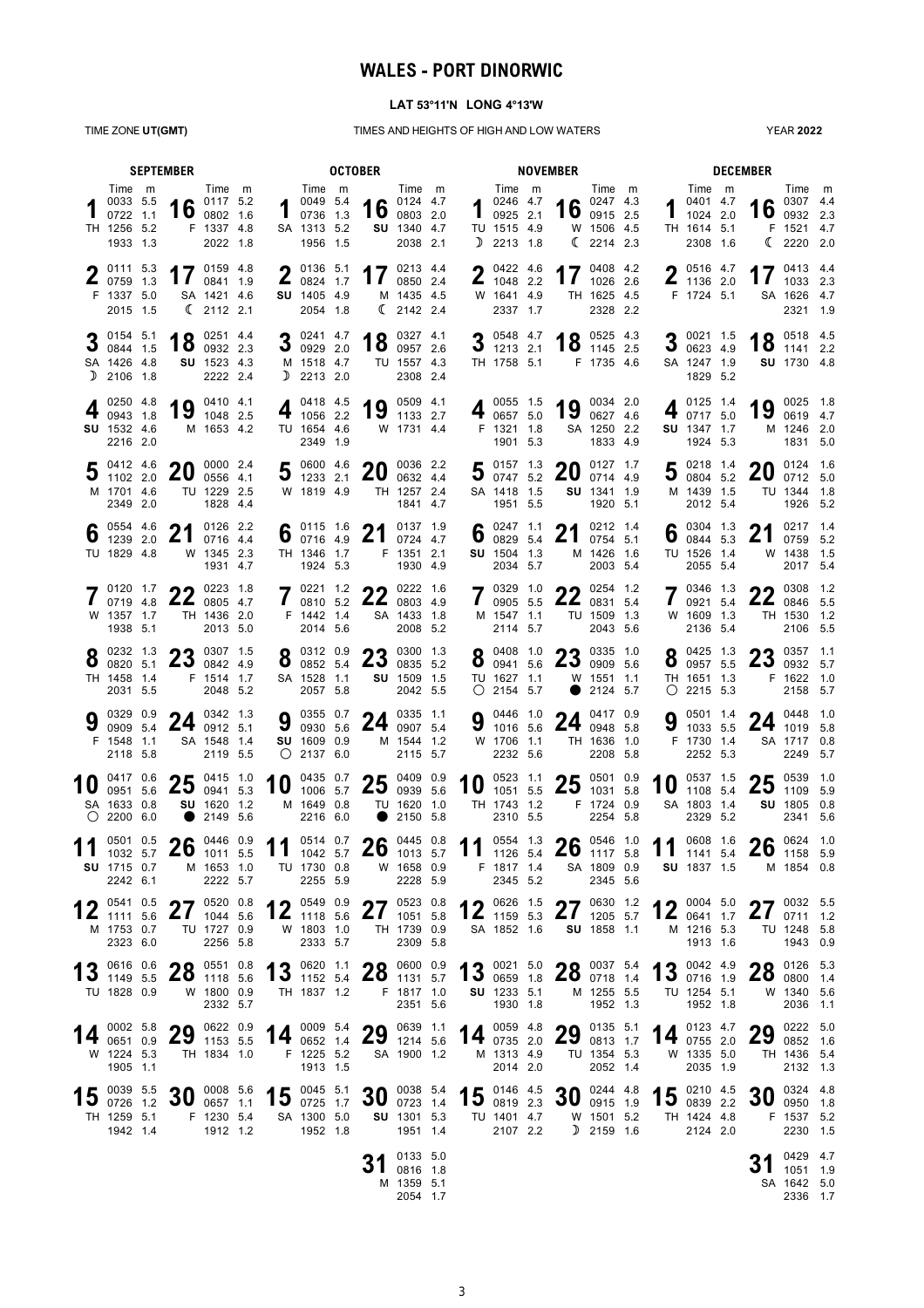# **WALES - PORT DINORWIC**

#### **LAT 53°11'N LONG 4°13'W**

TIME ZONE **UT(GMT)** TIMES AND HEIGHTS OF HIGH AND LOW WATERS

YEAR **2022**

| <b>SEPTEMBER</b> |                                                                                             |  |                    | <b>OCTOBER</b>                                            |  |     |                                                           |  |                                                                                                                                             |                                                             | <b>NOVEMBER</b> |                                                                             |  |                                                                                       |                                                               |  |    | <b>DECEMBER</b>                                                   |  |                                   |                                                                            |  |  |
|------------------|---------------------------------------------------------------------------------------------|--|--------------------|-----------------------------------------------------------|--|-----|-----------------------------------------------------------|--|---------------------------------------------------------------------------------------------------------------------------------------------|-------------------------------------------------------------|-----------------|-----------------------------------------------------------------------------|--|---------------------------------------------------------------------------------------|---------------------------------------------------------------|--|----|-------------------------------------------------------------------|--|-----------------------------------|----------------------------------------------------------------------------|--|--|
|                  | Time m<br>0033 5.5<br>0722 1.1<br>TH 1256 5.2<br>1933 1.3                                   |  |                    | Time m<br>16 $^{0117}$ 5.2<br>F 1337 4.8<br>2022 1.8      |  |     | Time m<br>0049 5.4<br>0736 1.3<br>SA 1313 5.2<br>1956 1.5 |  | 16 $0124$ 4.7                                                                                                                               | Time m<br>SU 1340 4.7<br>2038 2.1                           |                 | Time m<br>402464.7<br>$\frac{1}{2}$ 0925 2.1<br>TU 1515 4.9<br>$D$ 2213 1.8 |  |                                                                                       | Time m<br>16 $^{0247}$ 4.3<br>W 1506 4.5<br>$\binom{2214}{2}$ |  |    | Time m<br>0401 4.7<br>1024 2.0<br>TH 1614 5.1<br>2308 1.6         |  |                                   | Time m<br>$\bullet$ 0307 4.4<br>16 $^{0307}$ 4.4<br>F 1521 4.7<br>(222020) |  |  |
|                  | 0111 5.3<br>$\frac{2}{1}$ 0759 1.3<br>F 1337 5.0<br>2015 1.5                                |  |                    | 17 $^{0159}$ 4.8<br>SA 1421 4.6<br>$\binom{2112}{2}$ 2.1  |  |     | $2^{0136}$ 5.1<br>0824 1.7<br>SU 1405 4.9<br>2054 1.8     |  |                                                                                                                                             | 17 $0213$ 4.4<br>M 1435 4.5<br>(2142 2.4)                   | n               | 0422 4.6<br>$\frac{2}{1048}$ 2.2<br>W 1641 4.9<br>2337 1.7                  |  | 17 $^{0408}$ 4.2                                                                      | TH 1625 4.5<br>2328 2.2                                       |  |    | $\bigcap$ 0516 4.7<br>$\frac{2}{1136}$ 2.0<br>F 1724 5.1          |  |                                   | 17 $^{0413}$ $^{4.4}$<br>SA 1626 4.7<br>2321 1.9                           |  |  |
|                  | 0154 5.1<br>3 $0154$ 3.1<br>SA 1426 4.8<br>$D$ 2106 1.8                                     |  |                    | 18 $^{0251}$ 4.4<br>SU 1523 4.3<br>2222 2.4               |  |     | 3 ${}^{0241}_{0929}$ 2.0<br>M 1518 4.7<br>$D$ 2213 2.0    |  |                                                                                                                                             | $18$ $^{0327}$ $^{4.1}$ $^{2.6}$<br>TU 1557 4.3<br>2308 2.4 |                 | 3 $\frac{0548}{1213}$ $\frac{4.7}{2.1}$<br>TH 1758 5.1                      |  |                                                                                       | 18 $^{0525}$ 4.3<br>F 1735 4.6                                |  |    | 3 $\frac{0021}{0623}$ $\frac{1.5}{4}$<br>SA 1247 1.9<br>1829 5.2  |  |                                   | 18 $^{0518}$ 4.5<br>SU 1730 4.8                                            |  |  |
|                  | 0250 4.8<br>0943 1.8<br>SU 1532 4.6<br>2216 2.0                                             |  |                    | 19 $^{0410}$ $^{4.1}$<br>M 1653 4.2                       |  |     | 0418 4.5<br>1056 2.2<br>TU 1654 4.6<br>2349 1.9           |  | 19 $^{0509}$ 4.1                                                                                                                            | W 1731 4.4                                                  |                 | 4 $^{0055}$ 1.5<br>0657 5.0<br>F 1321 1.8<br>1901 5.3                       |  | 19                                                                                    | 0034 2.0<br>0627 4.6<br>SA 1250 2.2<br>1833 4.9               |  | 4  | 0125 1.4<br>0717 5.0<br>SU 1347 1.7<br>1924 5.3                   |  | 19                                | 0025 1.8<br>0619 4.7<br>M 1246 2.0<br>1831 5.0                             |  |  |
|                  | 0412 4.6 <b>QO</b><br>$J$ 1102 2.0<br>M 1701 4.6<br>2349 2.0                                |  |                    | 0000 2.4<br>$20_{\,0556\,4.1}$<br>TU 1229 2.5<br>1828 4.4 |  |     | 5 $\frac{0600}{1233}$ 2.1<br>W 1819 4.9                   |  | nn.<br>$20_{\ 0632}$ 4.4                                                                                                                    | 0036 2.2<br>TH 1257 2.4<br>1841 4.7                         |                 | $5^{0157}$ 1.3<br>30074752<br>SA 1418 1.5<br>1951 5.5                       |  | 20                                                                                    | 0127 1.7<br>0714 4.9<br>SU 1341 1.9<br>1920 5.1               |  |    | $5^{0218}$ 1.4<br>30045.2<br>M 1439 1.5<br>2012 5.4               |  | 20                                | 0124 1.6<br>0712 5.0<br>TU 1344 1.8<br>1926 5.2                            |  |  |
|                  | $\bullet$ 0554 4.6<br>$\overline{0}$ 1239 2.0<br>TU 1829 4.8                                |  |                    | 21 $^{0126}$ $^{2.2}$<br>W 1345 2.3<br>1931 4.7           |  |     | 6 $^{0115}$ 1.6<br>0716 4.9<br>TH 1346 1.7<br>1924 5.3    |  | 21                                                                                                                                          | 0137 1.9<br>0724 4.7<br>F 1351 2.1<br>1930 4.9              |                 | $\bullet$ 0247 1.1<br>$0$ 0829 5.4<br>SU 1504 1.3<br>2034 5.7               |  | 21                                                                                    | 0212 1.4<br>0754 5.1<br>M 1426 1.6<br>2003 5.4                |  |    | 6 $^{0304}_{0844}$ 53<br>TU 1526 1.4<br>2055 5.4                  |  | 21                                | 0217 1.4<br>0759 5.2<br>W 1438 1.5<br>2017 5.4                             |  |  |
|                  | $\frac{0120}{0719}$ 4.8 <b>22</b> $\frac{0223}{0805}$ 4.7<br>W 1357 1.7<br>1938 5.1         |  |                    | TH 1436 2.0<br>2013 5.0                                   |  |     | 0221 1.2<br>0810 5.2<br>F 1442 1.4<br>2014 5.6            |  | 22 $^{0222}$ 1.6                                                                                                                            | SA 1433 1.8<br>2008 5.2                                     |                 | $7^{0329}$ 1.0<br>0905 55<br>0905 5.5<br>M 1547 1.1<br>2114 5.7             |  | $22^{0254}$ 1.2<br>0831 5.4                                                           | TU 1509 1.3<br>2043 5.6                                       |  |    | $7^{0346}$ 1.3<br>0921 5.4<br>W 1609 1.3<br>2136 5.4              |  |                                   | 0308 1.2<br>$22^{0308}$ 1.2<br>TH 1530 1.2<br>2106 5.5                     |  |  |
|                  | $\bullet$ 0232 1.3<br>$\bullet$ 0820 5.1<br>TH 1458 1.4<br>2031 5.5                         |  |                    | 22.5<br>25008424.9<br>F 1514 1.7<br>2048 5.2              |  |     | $8^{0312}_{0852}$ 5.4<br>SA 1528 1.1<br>2057 5.8          |  | 22.3<br>$25$ 0835 5.2                                                                                                                       | SU 1509 1.5<br>2042 5.5                                     |                 | $8^{0408}$ 1.0<br>0941 5.6<br>TU 1627 1.1<br>$O$ 2154 5.7                   |  | $25$ 0909 5.6<br>$\bullet$                                                            | 22.033510<br>W 1551 1.1<br>2124 5.7                           |  |    | $\bullet$ 0425 1.3<br>$0$ 0957 5.5<br>TH 1651 1.3<br>$O$ 2215 5.3 |  |                                   | $22.0357$ 1.1<br>$25$ 0932 5.7<br>F 1622 1.0<br>2158 5.7                   |  |  |
|                  | 0329 0.9<br>0909 5.4<br>F 1548 1.1<br>2118 5.8                                              |  |                    | 24 $^{0342}$ 1.3<br>SA 1548 1.4<br>2119 5.5               |  |     | SU 1609 0.9<br>$O$ 2137 6.0                               |  | 9 $\frac{0355}{0930}$ 5.6 24 $\frac{0335}{0907}$ 5.4                                                                                        | M 1544 1.2<br>2115 5.7                                      |                 | 0446 1.0<br>9 $\frac{0446}{1016}$ 5.6<br>W 1706 1.1<br>2232 5.6             |  | 24 $^{0417}$ 0.9                                                                      | TH 1636 1.0<br>2208 5.8                                       |  | a  | 0501 1.4<br>$3\,\,1033\,\,5.5$<br>F 1730 1.4<br>2252 5.3          |  |                                   | 24 $^{0448}$ 1.0<br>SA 1717 0.8<br>2249 5.7                                |  |  |
|                  | 0417 0.6<br>0951 5.6<br>SA 1633 0.8<br>$O$ 2200 6.0                                         |  |                    | $25^{0415}$ 1.0<br>0941 5.3<br>SU 1620 1.2<br>2149 5.6    |  | 10  | 0435 0.7<br>1006 5.7<br>M 1649 0.8<br>2216 6.0            |  | $25^{0409}_{0939}$ 5.6                                                                                                                      | TU 1620 1.0<br>2150 5.8                                     |                 | 10 $^{0523}$ 1.1<br>TH 1743 1.2<br>2310 5.5                                 |  | $\frac{0523}{1051}$ $\frac{1.1}{5.5}$ <b>25</b> $\frac{0501}{1031}$ $\frac{0.9}{5.8}$ | 1031 5.8<br>F 1724 0.9<br>2254 5.8                            |  | 10 | 0537 1.5<br>1108 5.4<br>SA 1803 1.4<br>2329 5.2                   |  | クド<br>ZJ                          | 0539 1.0<br>1109 5.9<br>SU 1805 0.8<br>2341 5.6                            |  |  |
|                  | $\frac{0501}{1032}$ 5.7 <b>26</b> $\frac{0446}{1011}$ 5.5<br><b>SU</b> 1715 0.7<br>2242 6.1 |  |                    | M 1653 1.0<br>2222 5.7                                    |  |     | TU 1730 0.8<br>2255 5.9                                   |  | 11 $_{1042}^{0514}$ $_{0.7}^{0.7}$ 26 $_{1013}^{0445}$ $_{0.8}^{0.8}$ 11 $_{1126}^{0554}$ $_{5.4}^{1.3}$ 26 $_{1117}^{0546}$ $_{1.0}^{1.0}$ | W 1658 0.9<br>2228 5.9                                      |                 | F 1817 1.4<br>2345 5.2                                                      |  |                                                                                       | SA 1809 0.9<br>2345 5.6                                       |  |    | <b>SU</b> 1837 1.5                                                |  | 11 $^{0608}$ 1.6 26 $^{0624}$ 1.0 | M 1854 0.8                                                                 |  |  |
|                  | 0541 0.5<br>$12$ 1111 5.6<br>M 1753 0.7<br>2323 6.0                                         |  | 27<br>$\mathbf{Z}$ | 0520 0.8<br>1044 5.6<br>TU 1727 0.9<br>2256 5.8           |  | 1 N | 0549 0.9<br>$12$ 1118 5.6<br>W 1803 1.0<br>2333 5.7       |  | $\mathbf{Z}$                                                                                                                                | 7705230.8<br>1051 5.8<br>TH 1739 0.9<br>2309 5.8            |                 | $4 \bullet 0626 1.5$<br>$12$ 1159 5.3<br>SA 1852 1.6                        |  | 27 $^{0630}$ 1.2                                                                      | SU 1858 1.1                                                   |  |    | 12 $^{0004}$ 5.0<br>M 1216 5.3<br>1913 1.6                        |  |                                   | 2703255<br>$21$ 0711 1.2<br>TU 1248 5.8<br>1943 0.9                        |  |  |
|                  | 13 $\frac{0616}{1149}$ 5.5<br>TU 1828 0.9                                                   |  |                    | $20^{0.551}$ 0.8<br>ZO 1118 5.6<br>W 1800 0.9<br>2332 5.7 |  |     | TH 1837 1.2                                               |  | 13 0620 1.1 28 0600 0.9                                                                                                                     | F 1817 1.0<br>2351 5.6                                      |                 | 13 0021 5.0<br>SU 1233 5.1<br>1930 1.8                                      |  | $28^{0037}$ 5.4                                                                       | M 1255 5.5<br>1952 1.3                                        |  |    | 13 0042 4.9<br>TU 1254 5.1<br>1952 1.8                            |  |                                   | <b>20</b> 0126 5.3<br>$20$ 0800 1.4<br>W 1340 5.6<br>2036 1.1              |  |  |
|                  | 14 $^{0002}$ 5.8 29 $^{0622}$ 0.9<br>W 1224 5.3<br>1905 1.1                                 |  |                    | TH 1834 1.0                                               |  |     | F 1225 5.2<br>1913 1.5                                    |  | 14 $^{0009}$ 5.4 29 $^{0639}$ 1.1                                                                                                           | SA 1900 1.2                                                 |                 | 14 $^{0059}$ 4.8<br>M 1313 4.9<br>2014 2.0                                  |  | $29$ $^{0135}$ 5.1                                                                    | TU 1354 5.3<br>2052 1.4                                       |  |    | 14 $0123$ 4.<br>W 1335 5.0<br>2035 1.9                            |  | 29                                | 0222 5.0<br>0852 1.6<br>TH 1436 5.4<br>2132 1.3                            |  |  |
|                  | 15 $^{0039}$ 5.5<br>TH 1259 5.1<br>1942 1.4                                                 |  | 21                 | 0008 5.6<br>$30$ 0657 1.1<br>F 1230 5.4<br>1912 1.2       |  |     | 15 $^{0045}$ 5.1<br>0725 1.7<br>SA 1300 5.0<br>1952 1.8   |  | 30                                                                                                                                          | 0038 5.4<br>0723 1.4<br>SU 1301 5.3<br>1951 1.4             |                 | 15 $^{0146}$ $^{4.5}$<br>TU 1401 4.7<br>2107 2.2                            |  | 30                                                                                    | 0244 4.8<br>0915 1.9<br>W 1501 5.2<br>$D$ 2159 1.6            |  |    | 15 $^{0210}$ 4.5<br>TH 1424 4.8<br>2124 2.0                       |  | 30                                | 0324 4.8<br>0950 1.8<br>F 1537 5.2<br>2230 1.5                             |  |  |
|                  |                                                                                             |  |                    |                                                           |  |     |                                                           |  | 31                                                                                                                                          | 0133 5.0<br>0816 1.8<br>M 1359 5.1<br>2054 1.7              |                 |                                                                             |  |                                                                                       |                                                               |  |    |                                                                   |  |                                   | 0429 4.7<br>1051 1.9<br>SA 1642 5.0<br>2336 1.7                            |  |  |